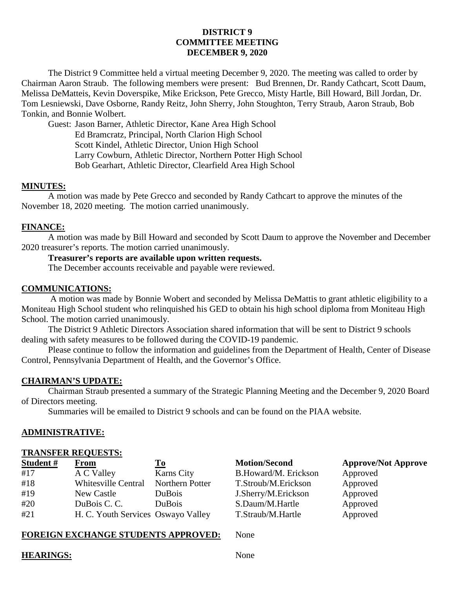# **DISTRICT 9 COMMITTEE MEETING DECEMBER 9, 2020**

The District 9 Committee held a virtual meeting December 9, 2020. The meeting was called to order by Chairman Aaron Straub. The following members were present: Bud Brennen, Dr. Randy Cathcart, Scott Daum, Melissa DeMatteis, Kevin Doverspike, Mike Erickson, Pete Grecco, Misty Hartle, Bill Howard, Bill Jordan, Dr. Tom Lesniewski, Dave Osborne, Randy Reitz, John Sherry, John Stoughton, Terry Straub, Aaron Straub, Bob Tonkin, and Bonnie Wolbert.

Guest: Jason Barner, Athletic Director, Kane Area High School Ed Bramcratz, Principal, North Clarion High School Scott Kindel, Athletic Director, Union High School Larry Cowburn, Athletic Director, Northern Potter High School Bob Gearhart, Athletic Director, Clearfield Area High School

### **MINUTES:**

A motion was made by Pete Grecco and seconded by Randy Cathcart to approve the minutes of the November 18, 2020 meeting. The motion carried unanimously.

# **FINANCE:**

A motion was made by Bill Howard and seconded by Scott Daum to approve the November and December 2020 treasurer's reports. The motion carried unanimously.

# **Treasurer's reports are available upon written requests.**

The December accounts receivable and payable were reviewed.

### **COMMUNICATIONS:**

A motion was made by Bonnie Wobert and seconded by Melissa DeMattis to grant athletic eligibility to a Moniteau High School student who relinquished his GED to obtain his high school diploma from Moniteau High School. The motion carried unanimously.

The District 9 Athletic Directors Association shared information that will be sent to District 9 schools dealing with safety measures to be followed during the COVID-19 pandemic.

Please continue to follow the information and guidelines from the Department of Health, Center of Disease Control, Pennsylvania Department of Health, and the Governor's Office.

### **CHAIRMAN'S UPDATE:**

Chairman Straub presented a summary of the Strategic Planning Meeting and the December 9, 2020 Board of Directors meeting.

Summaries will be emailed to District 9 schools and can be found on the PIAA website.

# **ADMINISTRATIVE:**

### **TRANSFER REQUESTS:**

| Student# | <b>From</b>                        | To                |
|----------|------------------------------------|-------------------|
| #17      | A C Valley                         | <b>Karns City</b> |
| #18      | <b>Whitesville Central</b>         | Northern Potter   |
| #19      | New Castle                         | DuBois            |
| #20      | DuBois C.C.                        | DuBois            |
| #21      | H. C. Youth Services Oswayo Valley |                   |

B.Howard/M. Erickson Approved T.Stroub/M.Erickson Approved J.Sherry/M.Erickson Approved S.Daum/M.Hartle Approved T. Straub/M. Hartle Approved

# **Motion/Second Approve/Not Approve**

# **FOREIGN EXCHANGE STUDENTS APPROVED:** None

### **HEARINGS:** None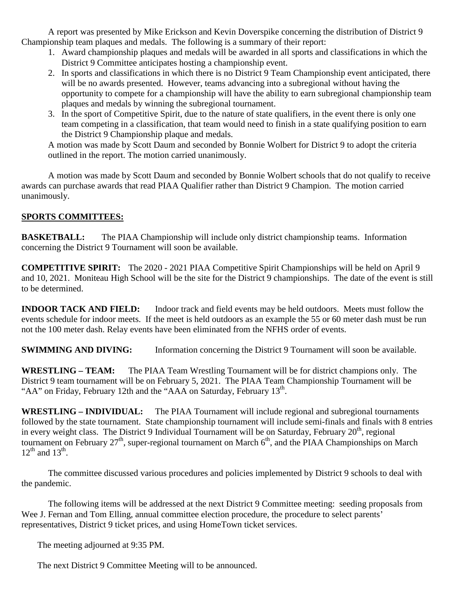A report was presented by Mike Erickson and Kevin Doverspike concerning the distribution of District 9 Championship team plaques and medals. The following is a summary of their report:

- 1. Award championship plaques and medals will be awarded in all sports and classifications in which the District 9 Committee anticipates hosting a championship event.
- 2. In sports and classifications in which there is no District 9 Team Championship event anticipated, there will be no awards presented. However, teams advancing into a subregional without having the opportunity to compete for a championship will have the ability to earn subregional championship team plaques and medals by winning the subregional tournament.
- 3. In the sport of Competitive Spirit, due to the nature of state qualifiers, in the event there is only one team competing in a classification, that team would need to finish in a state qualifying position to earn the District 9 Championship plaque and medals.

A motion was made by Scott Daum and seconded by Bonnie Wolbert for District 9 to adopt the criteria outlined in the report. The motion carried unanimously.

A motion was made by Scott Daum and seconded by Bonnie Wolbert schools that do not qualify to receive awards can purchase awards that read PIAA Qualifier rather than District 9 Champion. The motion carried unanimously.

# **SPORTS COMMITTEES:**

**BASKETBALL:** The PIAA Championship will include only district championship teams. Information concerning the District 9 Tournament will soon be available.

**COMPETITIVE SPIRIT:** The 2020 - 2021 PIAA Competitive Spirit Championships will be held on April 9 and 10, 2021. Moniteau High School will be the site for the District 9 championships. The date of the event is still to be determined.

**INDOOR TACK AND FIELD:** Indoor track and field events may be held outdoors. Meets must follow the events schedule for indoor meets. If the meet is held outdoors as an example the 55 or 60 meter dash must be run not the 100 meter dash. Relay events have been eliminated from the NFHS order of events.

**SWIMMING AND DIVING:** Information concerning the District 9 Tournament will soon be available.

**WRESTLING – TEAM:** The PIAA Team Wrestling Tournament will be for district champions only. The District 9 team tournament will be on February 5, 2021. The PIAA Team Championship Tournament will be "AA" on Friday, February 12th and the "AAA on Saturday, February  $13<sup>th</sup>$ .

**WRESTLING – INDIVIDUAL:** The PIAA Tournament will include regional and subregional tournaments followed by the state tournament. State championship tournament will include semi-finals and finals with 8 entries in every weight class. The District 9 Individual Tournament will be on Saturday, February  $20<sup>th</sup>$ , regional tournament on February  $27<sup>th</sup>$ , super-regional tournament on March  $6<sup>th</sup>$ , and the PIAA Championships on March  $12^{th}$  and  $13^{th}$ .

The committee discussed various procedures and policies implemented by District 9 schools to deal with the pandemic.

The following items will be addressed at the next District 9 Committee meeting: seeding proposals from Wee J. Fernan and Tom Elling, annual committee election procedure, the procedure to select parents' representatives, District 9 ticket prices, and using HomeTown ticket services.

The meeting adjourned at 9:35 PM.

The next District 9 Committee Meeting will to be announced.